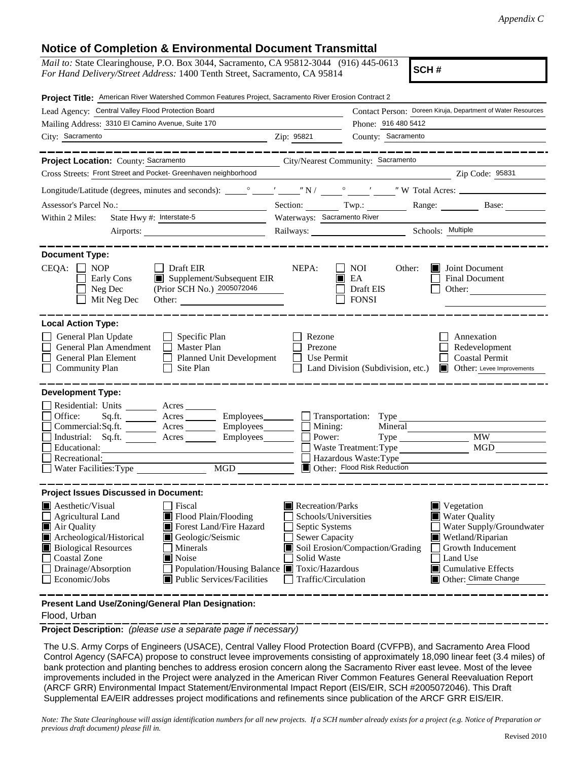## **Notice of Completion & Environmental Document Transmittal**

| Notice of Completion & Environmental Document Fransimital                                                                                                                                                                                                                                                                                                                      |                                                                                                                                                                                                                                                                                                                                                           |  |  |  |  |
|--------------------------------------------------------------------------------------------------------------------------------------------------------------------------------------------------------------------------------------------------------------------------------------------------------------------------------------------------------------------------------|-----------------------------------------------------------------------------------------------------------------------------------------------------------------------------------------------------------------------------------------------------------------------------------------------------------------------------------------------------------|--|--|--|--|
| <i>Mail to:</i> State Clearinghouse, P.O. Box 3044, Sacramento, CA 95812-3044 (916) 445-0613<br>SCH#<br>For Hand Delivery/Street Address: 1400 Tenth Street, Sacramento, CA 95814                                                                                                                                                                                              |                                                                                                                                                                                                                                                                                                                                                           |  |  |  |  |
| Project Title: American River Watershed Common Features Project, Sacramento River Erosion Contract 2                                                                                                                                                                                                                                                                           |                                                                                                                                                                                                                                                                                                                                                           |  |  |  |  |
| Lead Agency: Central Valley Flood Protection Board                                                                                                                                                                                                                                                                                                                             | Contact Person: Doreen Kiruja, Department of Water Resources                                                                                                                                                                                                                                                                                              |  |  |  |  |
| Mailing Address: 3310 El Camino Avenue, Suite 170                                                                                                                                                                                                                                                                                                                              | Phone: 916 480 5412                                                                                                                                                                                                                                                                                                                                       |  |  |  |  |
| City: Sacramento                                                                                                                                                                                                                                                                                                                                                               | County: Sacramento<br>Zip: 95821                                                                                                                                                                                                                                                                                                                          |  |  |  |  |
| _________________<br>Project Location: County: Sacramento                                                                                                                                                                                                                                                                                                                      | ------------------------<br>City/Nearest Community: Sacramento                                                                                                                                                                                                                                                                                            |  |  |  |  |
| Cross Streets: Front Street and Pocket- Greenhaven neighborhood<br>Zip Code: 95831                                                                                                                                                                                                                                                                                             |                                                                                                                                                                                                                                                                                                                                                           |  |  |  |  |
|                                                                                                                                                                                                                                                                                                                                                                                |                                                                                                                                                                                                                                                                                                                                                           |  |  |  |  |
|                                                                                                                                                                                                                                                                                                                                                                                | Section: Twp.: Range: Base:                                                                                                                                                                                                                                                                                                                               |  |  |  |  |
| State Hwy #: Interstate-5<br>Within 2 Miles:                                                                                                                                                                                                                                                                                                                                   | Waterways: Sacramento River                                                                                                                                                                                                                                                                                                                               |  |  |  |  |
|                                                                                                                                                                                                                                                                                                                                                                                | Railways: Schools: Multiple                                                                                                                                                                                                                                                                                                                               |  |  |  |  |
| <b>Document Type:</b>                                                                                                                                                                                                                                                                                                                                                          |                                                                                                                                                                                                                                                                                                                                                           |  |  |  |  |
| $CEQA: \Box$<br><b>NOP</b><br>Draft EIR<br>$\blacksquare$ Supplement/Subsequent EIR<br>Early Cons<br>(Prior SCH No.) 2005072046<br>Neg Dec<br>Mit Neg Dec                                                                                                                                                                                                                      | NEPA:<br>NOI<br>Other:<br><b>Joint Document</b><br>$\blacksquare$ EA<br>Final Document<br>Draft EIS<br>Other:<br><b>FONSI</b>                                                                                                                                                                                                                             |  |  |  |  |
| <b>Local Action Type:</b>                                                                                                                                                                                                                                                                                                                                                      |                                                                                                                                                                                                                                                                                                                                                           |  |  |  |  |
| $\Box$ Specific Plan<br>General Plan Update<br>$\Box$ Master Plan<br>General Plan Amendment<br>General Plan Element<br>Planned Unit Development<br>$\Box$ Site Plan<br><b>Community Plan</b>                                                                                                                                                                                   | Rezone<br>Annexation<br>Prezone<br>Redevelopment<br>Use Permit<br><b>Coastal Permit</b><br>Land Division (Subdivision, etc.)<br>Other: Levee Improvements                                                                                                                                                                                                 |  |  |  |  |
| <b>Development Type:</b>                                                                                                                                                                                                                                                                                                                                                       |                                                                                                                                                                                                                                                                                                                                                           |  |  |  |  |
| Residential: Units ________ Acres _______<br>Office:<br>Commercial:Sq.ft. Acres Employees<br>Industrial: Sq.ft. _______ Acres ________ Employees _______ $\square$<br>Educational:<br>Recreational:<br>Water Facilities: Type<br>MGD                                                                                                                                           | Sq.ft. _________ Acres __________ Employees________ ____ Transportation: Type _____________________<br>Mining:<br>Mineral<br>Type MW<br>Power:<br>MGD<br>Hazardous Waste: Type<br>Other: Flood Risk Reduction                                                                                                                                             |  |  |  |  |
| <b>Project Issues Discussed in Document:</b>                                                                                                                                                                                                                                                                                                                                   |                                                                                                                                                                                                                                                                                                                                                           |  |  |  |  |
| <b>Aesthetic/Visual</b><br>Fiscal<br><b>Agricultural Land</b><br>Flood Plain/Flooding<br>Forest Land/Fire Hazard<br>Air Quality<br>Archeological/Historical<br>Geologic/Seismic<br><b>Biological Resources</b><br>Minerals<br>Coastal Zone<br>Noise<br>Drainage/Absorption<br>Population/Housing Balance Toxic/Hazardous<br>Economic/Jobs<br><b>Public Services/Facilities</b> | Recreation/Parks<br>$\blacksquare$ Vegetation<br>Schools/Universities<br><b>Water Quality</b><br>Septic Systems<br>Water Supply/Groundwater<br>Sewer Capacity<br>Wetland/Riparian<br>Soil Erosion/Compaction/Grading<br>Growth Inducement<br>Solid Waste<br>Land Use<br>$\blacksquare$ Cumulative Effects<br>Traffic/Circulation<br>Other: Climate Change |  |  |  |  |

**Present Land Use/Zoning/General Plan Designation:**

## Flood, Urban

**Project Description:** *(please use a separate page if necessary)*

The U.S. Army Corps of Engineers (USACE), Central Valley Flood Protection Board (CVFPB), and Sacramento Area Flood Control Agency (SAFCA) propose to construct levee improvements consisting of approximately 18,090 linear feet (3.4 miles) of bank protection and planting benches to address erosion concern along the Sacramento River east levee. Most of the levee improvements included in the Project were analyzed in the American River Common Features General Reevaluation Report (ARCF GRR) Environmental Impact Statement/Environmental Impact Report (EIS/EIR, SCH #2005072046). This Draft Supplemental EA/EIR addresses project modifications and refinements since publication of the ARCF GRR EIS/EIR.

*Note: The State Clearinghouse will assign identification numbers for all new projects. If a SCH number already exists for a project (e.g. Notice of Preparation or previous draft document) please fill in.*